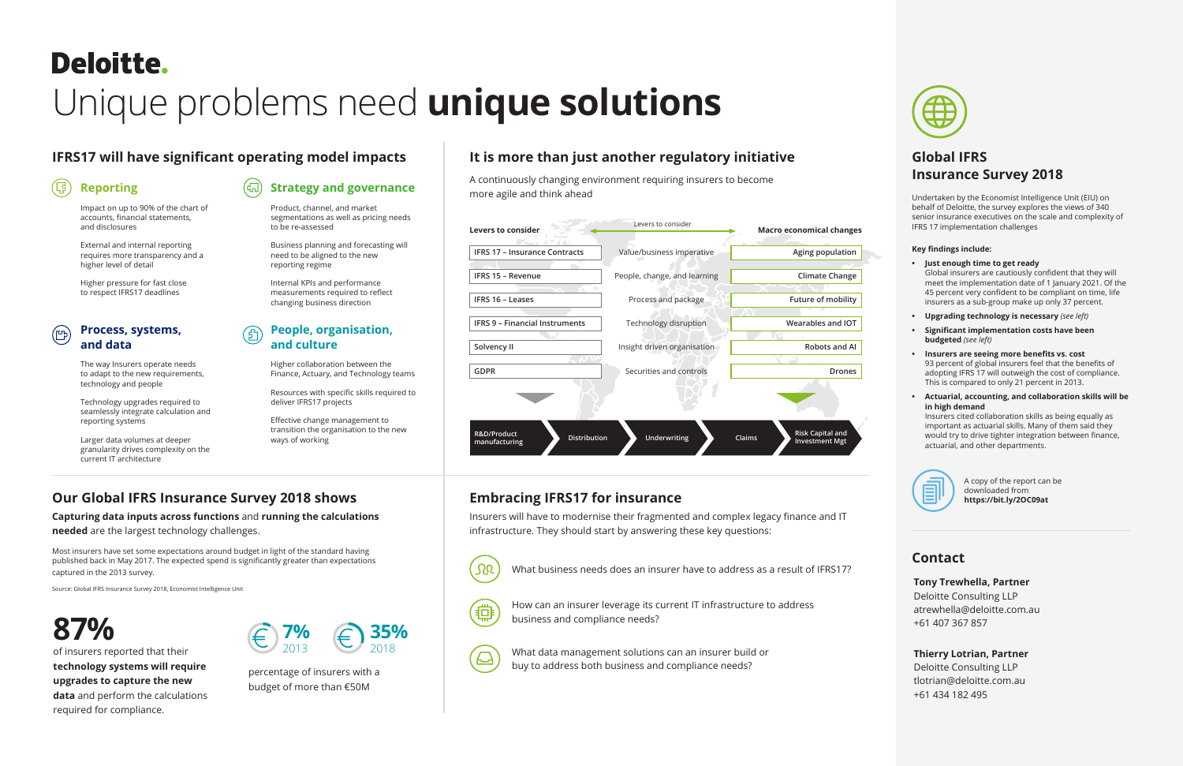# **Deloitte.**

# Unique problems need **unique solutions**

### **IFRS17 will have significant operating model impacts**

### **Our Global IFRS Insurance Survey 2018 shows**

## **It is more than just another regulatory initiative**

#### **Embracing IFRS17 for insurance**

#### **Global IFRS Insurance Survey 2018**

#### **Reporting**

Impact on up to 90% of the chart of accounts, financial statements, and disclosures

External and internal reporting requires more transparency and a higher level of detail

Higher pressure for fast close to respect IFRS17 deadlines

**Capturing data inputs across functions** and **running the calculations needed** are the largest technology challenges.

A continuously changing environment requiring insurers to become more agile and think ahead

Insurers will have to modernise their fragmented and complex legacy finance and IT infrastructure. They should start by answering these key questions:



Undertaken by the Economist Intelligence Unit (EIU) on behalf of Deloitte, the survey explores the views of 340 senior insurance executives on the scale and complexity of IFRS 17 implementation challenges

#### **Key findings include:**

- **• Just enough time to get ready** Global insurers are cautiously confident that they will meet the implementation date of 1 January 2021. Of the 45 percent very confident to be compliant on time, life insurers as a sub-group make up only 37 percent.
- **• Upgrading technology is necessary** *(see left)*
- **• Significant implementation costs have been budgeted** *(see left)*
- **• Insurers are seeing more benefits vs. cost** 93 percent of global insurers feel that the benefits of adopting IFRS 17 will outweigh the cost of compliance. This is compared to only 21 percent in 2013.
- **• Actuarial, accounting, and collaboration skills will be in high demand** Insurers cited collaboration skills as being equally as important as actuarial skills. Many of them said they would try to drive tighter integration between finance, actuarial, and other departments.



A copy of the report can be downloaded from **https://bit.ly/2OC09at**

Most insurers have set some expectations around budget in light of the standard having published back in May 2017. The expected spend is significantly greater than expectations captured in the 2013 survey.

Source: Global IFRS Insurance Survey 2018, Economist Intelligence Unit

## **87%** *€ 7%*

What business needs does an insurer have to address as a result of IFRS17?



How can an insurer leverage its current IT infrastructure to address business and compliance needs?



What data management solutions can an insurer build or buy to address both business and compliance needs?



#### **Strategy and governance**

Product, channel, and market segmentations as well as pricing needs to be re-assessed

Business planning and forecasting will need to be aligned to the new reporting regime

Internal KPIs and performance measurements required to reflect changing business direction

#### **Process, systems, and data**

The way Insurers operate needs to adapt to the new requirements, technology and people

Technology upgrades required to seamlessly integrate calculation and reporting systems

Larger data volumes at deeper granularity drives complexity on the current IT architecture

#### **People, organisation, and culture**

Higher collaboration between the Finance, Actuary, and Technology teams

Resources with specific skills required to deliver IFRS17 projects

Effective change management to transition the organisation to the new ways of working

of insurers reported that their **technology systems will require upgrades to capture the new data** and perform the calculations required for compliance.

percentage of insurers with a budget of more than €50M





#### **Contact**

#### **Tony Trewhella, Partner**

Deloitte Consulting LLP atrewhella@deloitte.com.au +61 407 367 857

#### **Thierry Lotrian, Partner**

Deloitte Consulting LLP tlotrian@deloitte.com.au +61 434 182 495